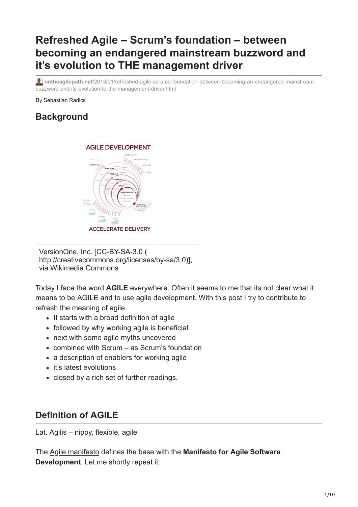# **Refreshed Agile – Scrum's foundation – between becoming an endangered mainstream buzzword and it's evolution to THE management driver**

**ontheagilepath.net**[/2013/01/refreshed-agile-scrums-foundation-between-becoming-an-endangered-mainstream](https://www.ontheagilepath.net/2013/01/refreshed-agile-scrums-foundation-between-becoming-an-endangered-mainstream-buzzword-and-its-evolution-to-the-management-driver.html)buzzword-and-its-evolution-to-the-management-driver.html

By Sebastian Radics

# **Background**



VersionOne, Inc. [CC-BY-SA-3.0 ( http://creativecommons.org/licenses/by-sa/3.0)], via Wikimedia Commons

Today I face the word **AGILE** everywhere. Often it seems to me that its not clear what it means to be AGILE and to use agile development. With this post I try to contribute to refresh the meaning of agile.

- It starts with a broad definition of agile
- followed by why working agile is beneficial
- next with some agile myths uncovered
- combined with Scrum as Scrum's foundation
- a description of enablers for working agile
- it's latest evolutions
- closed by a rich set of further readings.

# **Definition of AGILE**

Lat. Agilis – nippy, flexible, agile

The [Agile manifesto](http://agilemanifesto.org/) defines the base with the **Manifesto for Agile Software Development**. Let me shortly repeat it: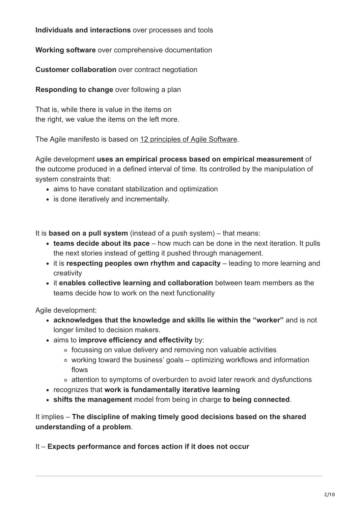**Individuals and interactions** over processes and tools

**Working software** over comprehensive documentation

**Customer collaboration** over contract negotiation

**Responding to change** over following a plan

That is, while there is value in the items on the right, we value the items on the left more.

The Agile manifesto is based on [12 principles of Agile Software.](http://agilemanifesto.org/principles.html)

Agile development **uses an empirical process based on empirical measurement** of the outcome produced in a defined interval of time. Its controlled by the manipulation of system constraints that:

- aims to have constant stabilization and optimization
- is done iteratively and incrementally.

It is **based on a pull system** (instead of a push system) – that means:

- **teams decide about its pace** how much can be done in the next iteration. It pulls the next stories instead of getting it pushed through management.
- it is **respecting peoples own rhythm and capacity** leading to more learning and creativity
- it **enables collective learning and collaboration** between team members as the teams decide how to work on the next functionality

Agile development:

- **acknowledges that the knowledge and skills lie within the "worker"** and is not longer limited to decision makers.
- aims to **improve efficiency and effectivity** by:
	- focussing on value delivery and removing non valuable activities
	- working toward the business' goals optimizing workflows and information flows
	- $\circ$  attention to symptoms of overburden to avoid later rework and dysfunctions
- recognizes that **work is fundamentally iterative learning**
- **shifts the management** model from being in charge **to being connected**.

It implies – **The discipline of making timely good decisions based on the shared understanding of a problem**.

It – **Expects performance and forces action if it does not occur**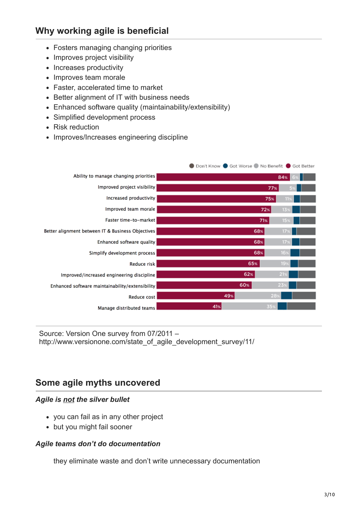# **Why working agile is beneficial**

- Fosters managing changing priorities
- Improves project visibility
- Increases productivity
- Improves team morale
- Faster, accelerated time to market
- Better alignment of IT with business needs
- Enhanced software quality (maintainability/extensibility)
- Simplified development process
- Risk reduction
- Improves/Increases engineering discipline

|                                                   | ● Don't Know ● Got Worse ● No Benefit ● Got Better |                 |
|---------------------------------------------------|----------------------------------------------------|-----------------|
| Ability to manage changing priorities             |                                                    | 84%             |
| Improved project visibility                       | 77%                                                |                 |
| Increased productivity                            | 75%                                                | Ш               |
| Improved team morale                              | 72%                                                | 139             |
| Faster time-to-market                             | 71%                                                | 15.2            |
| Better alignment between IT & Business Objectives | 68%                                                | 17 <sub>3</sub> |
| Enhanced software quality                         | 68%                                                | 17 <sub>9</sub> |
| Simplify development process                      | 68%                                                | 16 <sub>3</sub> |
| Reduce risk                                       | 65%                                                | 19:             |
| Improved/increased engineering discipline         | 62%                                                | 21              |
| Enhanced software maintainability/extensibility   | 60%<br>25                                          |                 |
| Reduce cost                                       | 49%<br>28                                          |                 |
| Manage distributed teams                          | 41%<br>35 <sub>5</sub>                             |                 |

Source: Version One survey from 07/2011 – http://www.versionone.com/state\_of\_agile\_development\_survey/11/

# **Some agile myths uncovered**

#### *Agile is not the silver bullet*

- you can fail as in any other project
- but you might fail sooner

#### *Agile teams don't do documentation*

they eliminate waste and don't write unnecessary documentation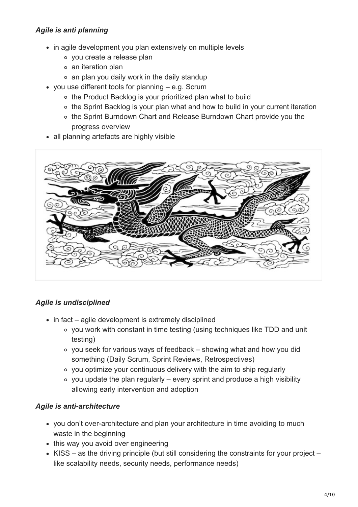### *Agile is anti planning*

- in agile development you plan extensively on multiple levels
	- you create a release plan
	- an iteration plan
	- an plan you daily work in the daily standup
- you use different tools for planning e.g. Scrum
	- o the Product Backlog is your prioritized plan what to build
	- ∘ the Sprint Backlog is your plan what and how to build in your current iteration
	- o the Sprint Burndown Chart and Release Burndown Chart provide you the progress overview
- all planning artefacts are highly visible



### *Agile is undisciplined*

- $\bullet$  in fact agile development is extremely disciplined
	- you work with constant in time testing (using techniques like TDD and unit testing)
	- you seek for various ways of feedback showing what and how you did something (Daily Scrum, Sprint Reviews, Retrospectives)
	- you optimize your continuous delivery with the aim to ship regularly
	- $\circ$  you update the plan regularly every sprint and produce a high visibility allowing early intervention and adoption

### *Agile is anti-architecture*

- you don't over-architecture and plan your architecture in time avoiding to much waste in the beginning
- this way you avoid over engineering
- KISS as the driving principle (but still considering the constraints for your project like scalability needs, security needs, performance needs)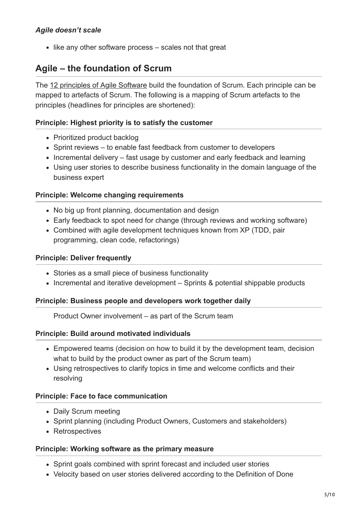$\bullet$  like any other software process  $-$  scales not that great

# **Agile – the foundation of Scrum**

The [12 principles of Agile Software](http://agilemanifesto.org/principles.html) build the foundation of Scrum. Each principle can be mapped to artefacts of Scrum. The following is a mapping of Scrum artefacts to the principles (headlines for principles are shortened):

### **Principle: Highest priority is to satisfy the customer**

- Prioritized product backlog
- Sprint reviews to enable fast feedback from customer to developers
- Incremental delivery fast usage by customer and early feedback and learning
- Using user stories to describe business functionality in the domain language of the business expert

#### **Principle: Welcome changing requirements**

- No big up front planning, documentation and design
- Early feedback to spot need for change (through reviews and working software)
- Combined with agile development techniques known from XP (TDD, pair programming, clean code, refactorings)

#### **Principle: Deliver frequently**

- Stories as a small piece of business functionality
- Incremental and iterative development Sprints & potential shippable products

#### **Principle: Business people and developers work together daily**

Product Owner involvement – as part of the Scrum team

#### **Principle: Build around motivated individuals**

- Empowered teams (decision on how to build it by the development team, decision what to build by the product owner as part of the Scrum team)
- Using retrospectives to clarify topics in time and welcome conflicts and their resolving

#### **Principle: Face to face communication**

- Daily Scrum meeting
- Sprint planning (including Product Owners, Customers and stakeholders)
- Retrospectives

#### **Principle: Working software as the primary measure**

- Sprint goals combined with sprint forecast and included user stories
- Velocity based on user stories delivered according to the Definition of Done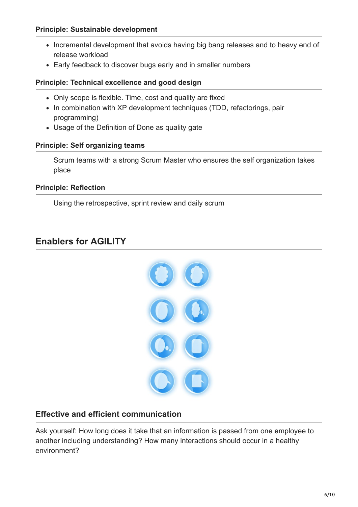#### **Principle: Sustainable development**

- Incremental development that avoids having big bang releases and to heavy end of release workload
- Early feedback to discover bugs early and in smaller numbers

#### **Principle: Technical excellence and good design**

- Only scope is flexible. Time, cost and quality are fixed
- In combination with XP development techniques (TDD, refactorings, pair programming)
- Usage of the Definition of Done as quality gate

#### **Principle: Self organizing teams**

Scrum teams with a strong Scrum Master who ensures the self organization takes place

### **Principle: Reflection**

Using the retrospective, sprint review and daily scrum

# **Enablers for AGILITY**



# **Effective and efficient communication**

Ask yourself: How long does it take that an information is passed from one employee to another including understanding? How many interactions should occur in a healthy environment?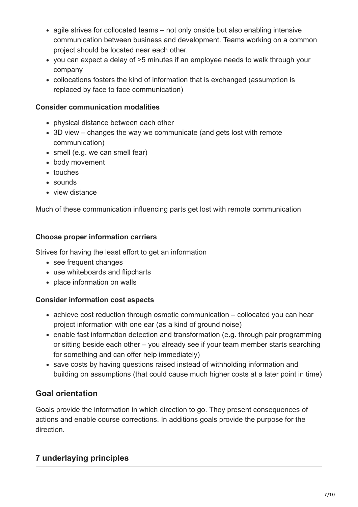- agile strives for collocated teams not only onside but also enabling intensive communication between business and development. Teams working on a common project should be located near each other.
- you can expect a delay of >5 minutes if an employee needs to walk through your company
- collocations fosters the kind of information that is exchanged (assumption is replaced by face to face communication)

#### **Consider communication modalities**

- physical distance between each other
- 3D view changes the way we communicate (and gets lost with remote communication)
- smell (e.g. we can smell fear)
- body movement
- touches
- sounds
- view distance

Much of these communication influencing parts get lost with remote communication

### **Choose proper information carriers**

Strives for having the least effort to get an information

- see frequent changes
- use whiteboards and flipcharts
- place information on walls

### **Consider information cost aspects**

- achieve cost reduction through osmotic communication collocated you can hear project information with one ear (as a kind of ground noise)
- enable fast information detection and transformation (e.g. through pair programming or sitting beside each other – you already see if your team member starts searching for something and can offer help immediately)
- save costs by having questions raised instead of withholding information and building on assumptions (that could cause much higher costs at a later point in time)

# **Goal orientation**

Goals provide the information in which direction to go. They present consequences of actions and enable course corrections. In additions goals provide the purpose for the direction.

# **7 underlaying principles**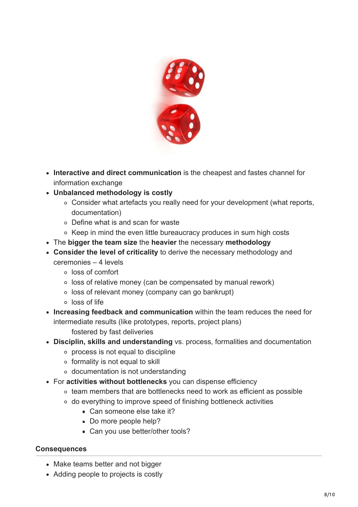

- **Interactive and direct communication** is the cheapest and fastes channel for information exchange
- **Unbalanced methodology is costly**
	- Consider what artefacts you really need for your development (what reports, documentation)
	- Define what is and scan for waste
	- Keep in mind the even little bureaucracy produces in sum high costs
- The **bigger the team size** the **heavier** the necessary **methodology**
- **Consider the level of criticality** to derive the necessary methodology and ceremonies – 4 levels
	- loss of comfort
	- o loss of relative money (can be compensated by manual rework)
	- loss of relevant money (company can go bankrupt)
	- loss of life
- **Increasing feedback and communication** within the team reduces the need for intermediate results (like prototypes, reports, project plans)
	- fostered by fast deliveries
- **Disciplin, skills and understanding** vs. process, formalities and documentation
	- process is not equal to discipline
	- $\circ$  formality is not equal to skill
	- documentation is not understanding
- For **activities without bottlenecks** you can dispense efficiency
	- team members that are bottlenecks need to work as efficient as possible
	- do everything to improve speed of finishing bottleneck activities
		- Can someone else take it?
		- Do more people help?
		- Can you use better/other tools?

### **Consequences**

- Make teams better and not bigger
- Adding people to projects is costly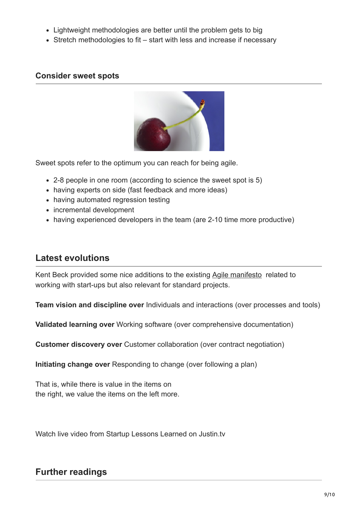- Lightweight methodologies are better until the problem gets to big
- Stretch methodologies to fit start with less and increase if necessary

### **Consider sweet spots**



Sweet spots refer to the optimum you can reach for being agile.

- 2-8 people in one room (according to science the sweet spot is 5)
- having experts on side (fast feedback and more ideas)
- having automated regression testing
- incremental development
- having experienced developers in the team (are 2-10 time more productive)

# **Latest evolutions**

Kent Beck provided some nice additions to the existing [Agile manifesto](http://agilemanifesto.org/) related to working with start-ups but also relevant for standard projects.

**Team vision and discipline over** Individuals and interactions (over processes and tools)

**Validated learning over** Working software (over comprehensive documentation)

**Customer discovery over** Customer collaboration (over contract negotiation)

**Initiating change over** Responding to change (over following a plan)

That is, while there is value in the items on the right, we value the items on the left more.

Watch live video from Startup Lessons Learned on Justin.tv

# **Further readings**